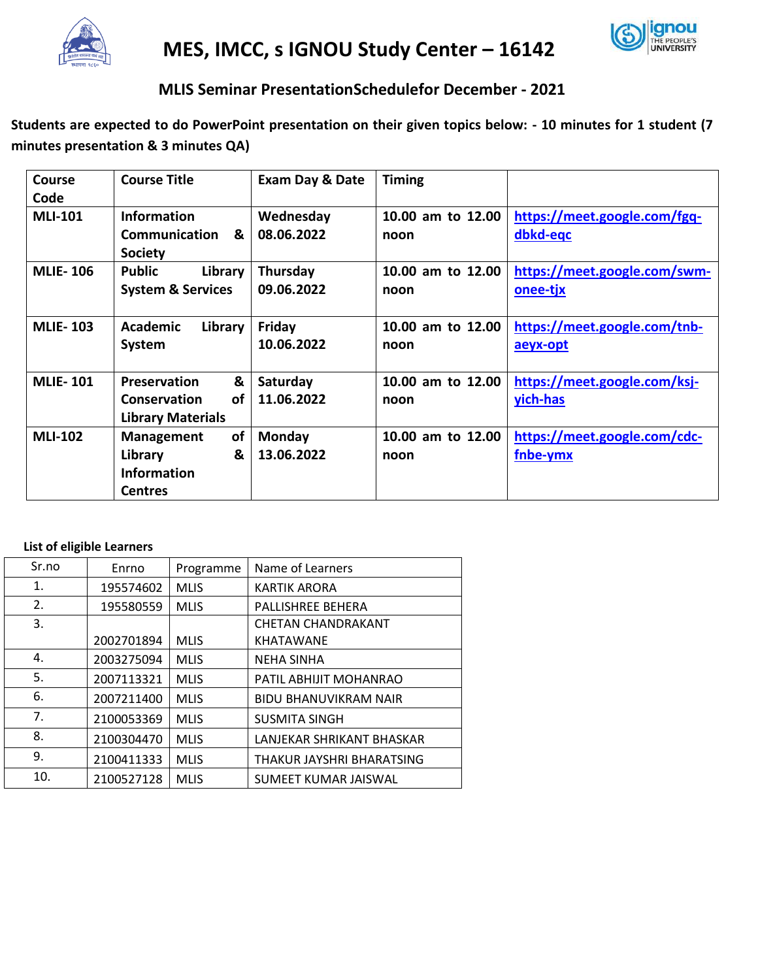

**MES, IMCC, s IGNOU Study Center – 16142**



# **MLIS Seminar PresentationSchedulefor December - 2021**

**Students are expected to do PowerPoint presentation on their given topics below: - 10 minutes for 1 student (7 minutes presentation & 3 minutes QA)**

| Course          | <b>Course Title</b>                  | <b>Exam Day &amp; Date</b> | <b>Timing</b>             |                                          |
|-----------------|--------------------------------------|----------------------------|---------------------------|------------------------------------------|
| Code            |                                      |                            |                           |                                          |
| <b>MLI-101</b>  | <b>Information</b>                   | Wednesday                  | 10.00 am to 12.00         | https://meet.google.com/fgq-             |
|                 | Communication<br>&<br><b>Society</b> | 08.06.2022                 | noon                      | dbkd-eqc                                 |
| <b>MLIE-106</b> | <b>Public</b><br>Library             | Thursday                   | 10.00 am to 12.00         | https://meet.google.com/swm-             |
|                 | <b>System &amp; Services</b>         | 09.06.2022                 | noon                      | <u>onee-tjx</u>                          |
| <b>MLIE-103</b> | Academic<br>Library<br>System        | Friday<br>10.06.2022       | 10.00 am to 12.00<br>noon | https://meet.google.com/tnb-<br>aeyx-opt |
|                 |                                      |                            |                           |                                          |
| <b>MLIE-101</b> | &<br><b>Preservation</b>             | Saturday                   | 10.00 am to 12.00         | https://meet.google.com/ksj-             |
|                 | Conservation<br>οf                   | 11.06.2022                 | noon                      | yich-has                                 |
|                 | <b>Library Materials</b>             |                            |                           |                                          |
| <b>MLI-102</b>  | <b>of</b><br>Management              | Monday                     | 10.00 am to 12.00         | https://meet.google.com/cdc-             |
|                 | &<br>Library                         | 13.06.2022                 | noon                      | fnbe-ymx                                 |
|                 | <b>Information</b>                   |                            |                           |                                          |
|                 | <b>Centres</b>                       |                            |                           |                                          |

### **List of eligible Learners**

| Sr.no | Enrno      | Programme   | Name of Learners             |
|-------|------------|-------------|------------------------------|
| 1.    | 195574602  | <b>MLIS</b> | KARTIK ARORA                 |
| 2.    | 195580559  | <b>MLIS</b> | PALLISHREE BEHERA            |
| 3.    |            |             | <b>CHETAN CHANDRAKANT</b>    |
|       | 2002701894 | <b>MLIS</b> | KHATAWANE                    |
| 4.    | 2003275094 | <b>MLIS</b> | <b>NEHA SINHA</b>            |
| 5.    | 2007113321 | <b>MLIS</b> | PATIL ABHIJIT MOHANRAO       |
| 6.    | 2007211400 | <b>MLIS</b> | <b>BIDU BHANUVIKRAM NAIR</b> |
| 7.    | 2100053369 | <b>MLIS</b> | <b>SUSMITA SINGH</b>         |
| 8.    | 2100304470 | <b>MLIS</b> | LANJEKAR SHRIKANT BHASKAR    |
| 9.    | 2100411333 | <b>MLIS</b> | THAKUR JAYSHRI BHARATSING    |
| 10.   | 2100527128 | <b>MLIS</b> | SUMEET KUMAR JAISWAL         |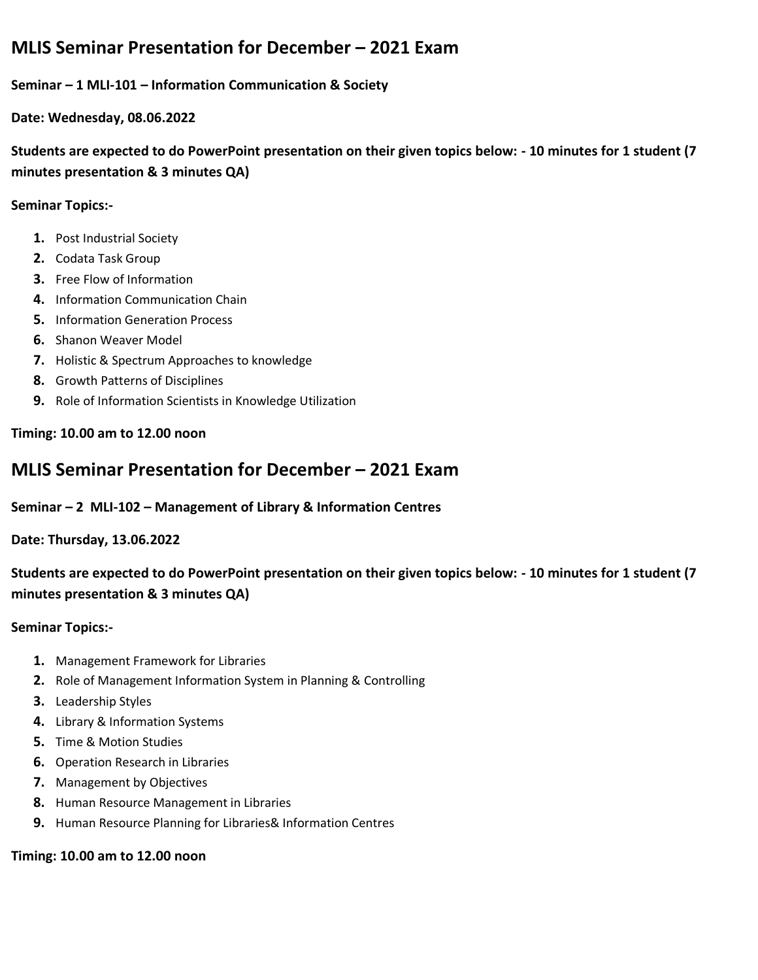# **MLIS Seminar Presentation for December – 2021 Exam**

### **Seminar – 1 MLI-101 – Information Communication & Society**

**Date: Wednesday, 08.06.2022**

**Students are expected to do PowerPoint presentation on their given topics below: - 10 minutes for 1 student (7 minutes presentation & 3 minutes QA)**

### **Seminar Topics:-**

- **1.** Post Industrial Society
- **2.** Codata Task Group
- **3.** Free Flow of Information
- **4.** Information Communication Chain
- **5.** Information Generation Process
- **6.** Shanon Weaver Model
- **7.** Holistic & Spectrum Approaches to knowledge
- **8.** Growth Patterns of Disciplines
- **9.** Role of Information Scientists in Knowledge Utilization

### **Timing: 10.00 am to 12.00 noon**

## **MLIS Seminar Presentation for December – 2021 Exam**

### **Seminar – 2 MLI-102 – Management of Library & Information Centres**

**Date: Thursday, 13.06.2022**

**Students are expected to do PowerPoint presentation on their given topics below: - 10 minutes for 1 student (7 minutes presentation & 3 minutes QA)**

### **Seminar Topics:-**

- **1.** Management Framework for Libraries
- **2.** Role of Management Information System in Planning & Controlling
- **3.** Leadership Styles
- **4.** Library & Information Systems
- **5.** Time & Motion Studies
- **6.** Operation Research in Libraries
- **7.** Management by Objectives
- **8.** Human Resource Management in Libraries
- **9.** Human Resource Planning for Libraries& Information Centres

### **Timing: 10.00 am to 12.00 noon**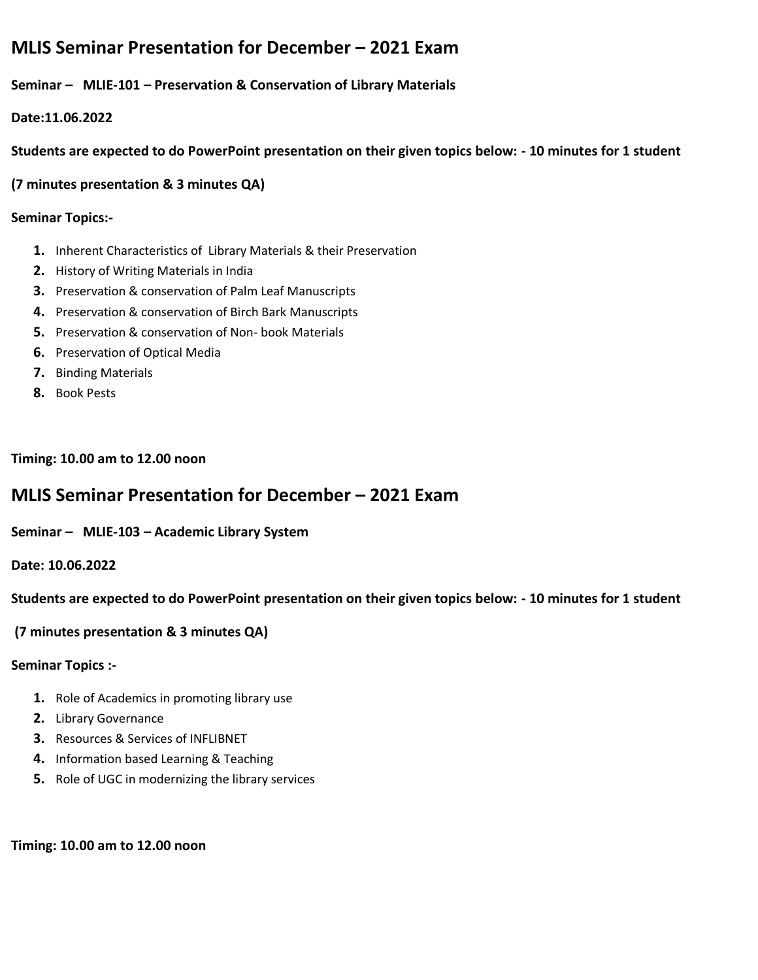# **MLIS Seminar Presentation for December – 2021 Exam**

**Seminar – MLIE-101 – Preservation & Conservation of Library Materials**

**Date:11.06.2022**

**Students are expected to do PowerPoint presentation on their given topics below: - 10 minutes for 1 student** 

**(7 minutes presentation & 3 minutes QA)**

## **Seminar Topics:-**

- **1.** Inherent Characteristics of Library Materials & their Preservation
- **2.** History of Writing Materials in India
- **3.** Preservation & conservation of Palm Leaf Manuscripts
- **4.** Preservation & conservation of Birch Bark Manuscripts
- **5.** Preservation & conservation of Non- book Materials
- **6.** Preservation of Optical Media
- **7.** Binding Materials
- **8.** Book Pests

**Timing: 10.00 am to 12.00 noon**

# **MLIS Seminar Presentation for December – 2021 Exam**

**Seminar – MLIE-103 – Academic Library System**

**Date: 10.06.2022**

**Students are expected to do PowerPoint presentation on their given topics below: - 10 minutes for 1 student**

## **(7 minutes presentation & 3 minutes QA)**

## **Seminar Topics :-**

- **1.** Role of Academics in promoting library use
- **2.** Library Governance
- **3.** Resources & Services of INFLIBNET
- **4.** Information based Learning & Teaching
- **5.** Role of UGC in modernizing the library services

### **Timing: 10.00 am to 12.00 noon**